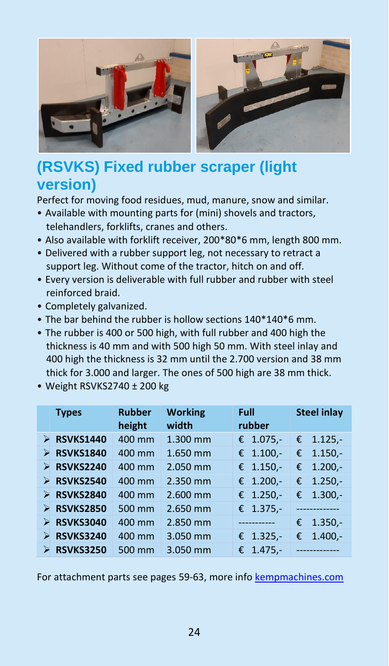

## **(RSVKS) Fixed rubber scraper (light version)**

Perfect for moving food residues, mud, manure, snow and similar.

- Available with mounting parts for (mini) shovels and tractors, telehandlers, forklifts, cranes and others.
- Also available with forklift receiver, 200\*80\*6 mm, length 800 mm.
- Delivered with a rubber support leg, not necessary to retract a support leg. Without come of the tractor, hitch on and off.
- Every version is deliverable with full rubber and rubber with steel reinforced braid.
- Completely galvanized.
- The bar behind the rubber is hollow sections 140\*140\*6 mm.
- The rubber is 400 or 500 high, with full rubber and 400 high the thickness is 40 mm and with 500 high 50 mm. With steel inlay and 400 high the thickness is 32 mm until the 2.700 version and 38 mm thick for 3.000 and larger. The ones of 500 high are 38 mm thick.
- Weight RSVKS2740 ± 200 kg

|   | <b>Types</b>     | <b>Rubber</b><br>height | <b>Working</b><br>width | Full<br>rubber | <b>Steel inlay</b> |  |
|---|------------------|-------------------------|-------------------------|----------------|--------------------|--|
| ⋗ | <b>RSVKS1440</b> | 400 mm                  | 1.300 mm                | € $1.075$ .    | $1.125 -$<br>€     |  |
| ⋗ | <b>RSVKS1840</b> | 400 mm                  | 1.650 mm                | € $1.100$ .    | $1.150 -$<br>€     |  |
| ⋗ | <b>RSVKS2240</b> | 400 mm                  | 2.050 mm                | € $1.150$ ,-   | $1.200 -$<br>€     |  |
| ⋗ | <b>RSVKS2540</b> | 400 mm                  | 2.350 mm                | € 1.200,-      | $1.250 -$<br>€     |  |
| ⋗ | <b>RSVKS2840</b> | 400 mm                  | 2.600 mm                | € $1.250$ ,-   | $1.300 -$<br>€     |  |
| ⊳ | <b>RSVKS2850</b> | 500 mm                  | 2.650 mm                | € $1.375$ ,-   |                    |  |
| ⋗ | <b>RSVKS3040</b> | 400 mm                  | 2.850 mm                | ---------      | $1.350 -$<br>€     |  |
|   | <b>RSVKS3240</b> | 400 mm                  | 3.050 mm                | € 1.325,-      | $1.400 -$<br>€     |  |
|   | <b>RSVKS3250</b> | 500 mm                  | 3.050 mm                | € $1.475.$     |                    |  |

For attachment parts see pages 59-63, more inf[o kempmachines.com](http://www.kempmachines.com/)